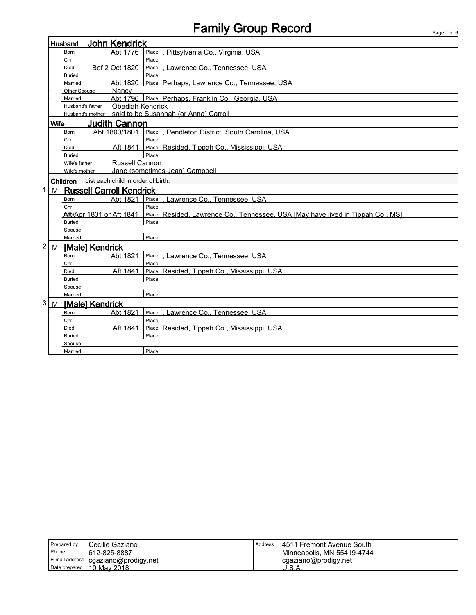## Family Group Record **Family Group Record**

|              |                                     | John Kendrick<br>Husband                       |                                                                                |  |  |
|--------------|-------------------------------------|------------------------------------------------|--------------------------------------------------------------------------------|--|--|
|              |                                     | Abt 1776<br>Born                               | Place<br>, Pittsylvania Co., Virginia, USA                                     |  |  |
|              |                                     | Chr.                                           | Place                                                                          |  |  |
|              |                                     | Bef 2 Oct 1820<br>Died                         | , Lawrence Co., Tennessee, USA<br>Place                                        |  |  |
|              |                                     | <b>Buried</b>                                  | Place                                                                          |  |  |
|              |                                     | Abt 1820<br>Married                            | Place Perhaps, Lawrence Co., Tennessee, USA                                    |  |  |
|              |                                     | Nancy<br>Other Spouse                          |                                                                                |  |  |
|              |                                     | Married                                        | Abt 1796 Place Perhaps, Franklin Co., Georgia, USA                             |  |  |
|              |                                     | <b>Obediah Kendrick</b><br>Husband's father    |                                                                                |  |  |
|              |                                     |                                                | Husband's mother said to be Susannah (or Anna) Carroll                         |  |  |
|              | <b>Judith Cannon</b><br><b>Wife</b> |                                                |                                                                                |  |  |
|              |                                     | Abt 1800/1801<br>Born                          | Place , Pendleton District, South Carolina, USA                                |  |  |
|              |                                     | Chr.                                           | Place                                                                          |  |  |
|              |                                     | Aft 1841<br>Died                               | Place Resided, Tippah Co., Mississippi, USA                                    |  |  |
|              |                                     | <b>Buried</b>                                  | Place                                                                          |  |  |
|              |                                     | <b>Russell Cannon</b><br>Wife's father         |                                                                                |  |  |
|              |                                     | Wife's mother                                  | Jane (sometimes Jean) Campbell                                                 |  |  |
|              |                                     | List each child in order of birth.<br>Children |                                                                                |  |  |
| 1            | M                                   | <b>Russell Carroll Kendrick</b>                |                                                                                |  |  |
|              |                                     | Abt 1821<br>Born                               | Place<br>. Lawrence Co., Tennessee, USA                                        |  |  |
|              |                                     | Chr.                                           | Place                                                                          |  |  |
|              |                                     | AltdApr 1831 or Aft 1841                       | Place Resided, Lawrence Co., Tennessee, USA [May have lived in Tippah Co., MS] |  |  |
|              |                                     | <b>Buried</b>                                  | Place                                                                          |  |  |
|              |                                     | Spouse                                         |                                                                                |  |  |
|              |                                     | Married                                        | Place                                                                          |  |  |
| $\mathbf{2}$ | M                                   | [Male] Kendrick                                |                                                                                |  |  |
|              |                                     | Abt 1821<br>Born                               | Place<br>. Lawrence Co Tennessee. USA                                          |  |  |
|              |                                     | Chr.                                           | Place                                                                          |  |  |
|              |                                     | Aft 1841<br>Died                               | Place Resided, Tippah Co., Mississippi, USA                                    |  |  |
|              |                                     | <b>Buried</b>                                  | Place                                                                          |  |  |
|              |                                     | Spouse                                         |                                                                                |  |  |
|              |                                     | Married                                        | Place                                                                          |  |  |
| 3            |                                     | M   [Male] Kendrick                            |                                                                                |  |  |
|              |                                     | Abt 1821<br>Born                               | Place<br>, Lawrence Co., Tennessee, USA                                        |  |  |
|              |                                     | Chr.                                           | Place                                                                          |  |  |
|              |                                     | Aft 1841<br>Died                               | Place Resided, Tippah Co., Mississippi, USA                                    |  |  |
|              |                                     | <b>Buried</b>                                  | Place                                                                          |  |  |
|              |                                     | Spouse                                         |                                                                                |  |  |
|              |                                     | Married                                        | Place                                                                          |  |  |

| Cecilie Gaziano<br>Prepared by      | 4511 Fremont Avenue South<br>Address |
|-------------------------------------|--------------------------------------|
| Phone<br>612-825-8887               | Minneapolis, MN 55419-4744           |
| E-mail address cgaziano@prodigy.net | cgaziano@prodigy.net                 |
| 10 May 2018<br>Date prepared        | ' I C A                              |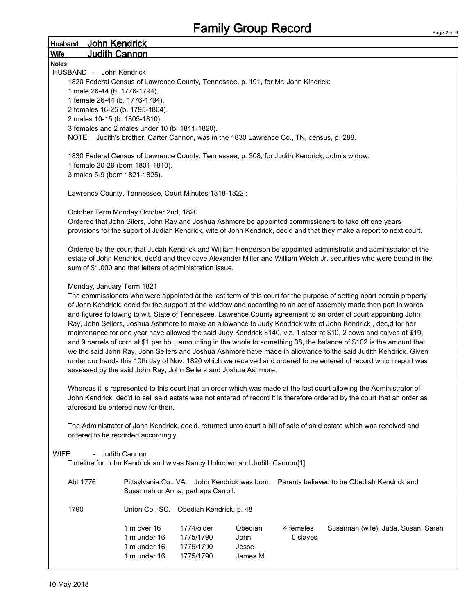|                           |                                                                                                                                   |                                        | <b>Family Group Record</b> |           |                                                                                                                                                                                                                                                                                                                                                                                                                                                                                                                                                                                                                                                                                                                                                                                                                                                                                                                                                                                                                                                                                                  |        |
|---------------------------|-----------------------------------------------------------------------------------------------------------------------------------|----------------------------------------|----------------------------|-----------|--------------------------------------------------------------------------------------------------------------------------------------------------------------------------------------------------------------------------------------------------------------------------------------------------------------------------------------------------------------------------------------------------------------------------------------------------------------------------------------------------------------------------------------------------------------------------------------------------------------------------------------------------------------------------------------------------------------------------------------------------------------------------------------------------------------------------------------------------------------------------------------------------------------------------------------------------------------------------------------------------------------------------------------------------------------------------------------------------|--------|
| <b>Husband</b>            | John Kendrick                                                                                                                     |                                        |                            |           |                                                                                                                                                                                                                                                                                                                                                                                                                                                                                                                                                                                                                                                                                                                                                                                                                                                                                                                                                                                                                                                                                                  | Page 2 |
| <b>Wife</b>               | <u>Judith Cannon</u>                                                                                                              |                                        |                            |           |                                                                                                                                                                                                                                                                                                                                                                                                                                                                                                                                                                                                                                                                                                                                                                                                                                                                                                                                                                                                                                                                                                  |        |
| <b>Notes</b>              |                                                                                                                                   |                                        |                            |           |                                                                                                                                                                                                                                                                                                                                                                                                                                                                                                                                                                                                                                                                                                                                                                                                                                                                                                                                                                                                                                                                                                  |        |
| HUSBAND - John Kendrick   |                                                                                                                                   |                                        |                            |           |                                                                                                                                                                                                                                                                                                                                                                                                                                                                                                                                                                                                                                                                                                                                                                                                                                                                                                                                                                                                                                                                                                  |        |
|                           | 1820 Federal Census of Lawrence County, Tennessee, p. 191, for Mr. John Kindrick:                                                 |                                        |                            |           |                                                                                                                                                                                                                                                                                                                                                                                                                                                                                                                                                                                                                                                                                                                                                                                                                                                                                                                                                                                                                                                                                                  |        |
|                           | 1 male 26-44 (b. 1776-1794).                                                                                                      |                                        |                            |           |                                                                                                                                                                                                                                                                                                                                                                                                                                                                                                                                                                                                                                                                                                                                                                                                                                                                                                                                                                                                                                                                                                  |        |
|                           | 1 female 26-44 (b. 1776-1794).                                                                                                    |                                        |                            |           |                                                                                                                                                                                                                                                                                                                                                                                                                                                                                                                                                                                                                                                                                                                                                                                                                                                                                                                                                                                                                                                                                                  |        |
|                           | 2 females 16-25 (b. 1795-1804).                                                                                                   |                                        |                            |           |                                                                                                                                                                                                                                                                                                                                                                                                                                                                                                                                                                                                                                                                                                                                                                                                                                                                                                                                                                                                                                                                                                  |        |
|                           | 2 males 10-15 (b. 1805-1810).                                                                                                     |                                        |                            |           |                                                                                                                                                                                                                                                                                                                                                                                                                                                                                                                                                                                                                                                                                                                                                                                                                                                                                                                                                                                                                                                                                                  |        |
|                           | 3 females and 2 males under 10 (b. 1811-1820).                                                                                    |                                        |                            |           |                                                                                                                                                                                                                                                                                                                                                                                                                                                                                                                                                                                                                                                                                                                                                                                                                                                                                                                                                                                                                                                                                                  |        |
|                           | NOTE: Judith's brother, Carter Cannon, was in the 1830 Lawrence Co., TN, census, p. 288.                                          |                                        |                            |           |                                                                                                                                                                                                                                                                                                                                                                                                                                                                                                                                                                                                                                                                                                                                                                                                                                                                                                                                                                                                                                                                                                  |        |
|                           | 1830 Federal Census of Lawrence County, Tennessee, p. 308, for Judith Kendrick, John's widow:<br>1 female 20-29 (born 1801-1810). |                                        |                            |           |                                                                                                                                                                                                                                                                                                                                                                                                                                                                                                                                                                                                                                                                                                                                                                                                                                                                                                                                                                                                                                                                                                  |        |
|                           | 3 males 5-9 (born 1821-1825).                                                                                                     |                                        |                            |           |                                                                                                                                                                                                                                                                                                                                                                                                                                                                                                                                                                                                                                                                                                                                                                                                                                                                                                                                                                                                                                                                                                  |        |
|                           |                                                                                                                                   |                                        |                            |           |                                                                                                                                                                                                                                                                                                                                                                                                                                                                                                                                                                                                                                                                                                                                                                                                                                                                                                                                                                                                                                                                                                  |        |
|                           | Lawrence County, Tennessee, Court Minutes 1818-1822 :                                                                             |                                        |                            |           |                                                                                                                                                                                                                                                                                                                                                                                                                                                                                                                                                                                                                                                                                                                                                                                                                                                                                                                                                                                                                                                                                                  |        |
|                           | October Term Monday October 2nd, 1820                                                                                             |                                        |                            |           |                                                                                                                                                                                                                                                                                                                                                                                                                                                                                                                                                                                                                                                                                                                                                                                                                                                                                                                                                                                                                                                                                                  |        |
|                           |                                                                                                                                   |                                        |                            |           | Ordered that John Silers, John Ray and Joshua Ashmore be appointed commissioners to take off one years<br>provisions for the suport of Judiah Kendrick, wife of John Kendrick, dec'd and that they make a report to next court.                                                                                                                                                                                                                                                                                                                                                                                                                                                                                                                                                                                                                                                                                                                                                                                                                                                                  |        |
|                           | sum of \$1,000 and that letters of administration issue.                                                                          |                                        |                            |           | Ordered by the court that Judah Kendrick and William Henderson be appointed administratix and administrator of the<br>estate of John Kendrick, dec'd and they gave Alexander Miller and William Welch Jr. securities who were bound in the                                                                                                                                                                                                                                                                                                                                                                                                                                                                                                                                                                                                                                                                                                                                                                                                                                                       |        |
| Monday, January Term 1821 | assessed by the said John Ray, John Sellers and Joshua Ashmore.                                                                   |                                        |                            |           | The commissioners who were appointed at the last term of this court for the purpose of setting apart certain property<br>of John Kendrick, dec'd for the support of the widdow and according to an act of assembly made then part in words<br>and figures following to wit, State of Tennessee, Lawrence County agreement to an order of court appointing John<br>Ray, John Sellers, Joshua Ashmore to make an allowance to Judy Kendrick wife of John Kendrick, dec,d for her<br>maintenance for one year have allowed the said Judy Kendrick \$140, viz, 1 steer at \$10, 2 cows and calves at \$19,<br>and 9 barrels of corn at \$1 per bbl., amounting in the whole to something 38, the balance of \$102 is the amount that<br>we the said John Ray, John Sellers and Joshua Ashmore have made in allowance to the said Judith Kendrick. Given<br>under our hands this 10th day of Nov. 1820 which we received and ordered to be entered of record which report was<br>Whereas it is represented to this court that an order which was made at the last court allowing the Administrator of |        |
|                           | aforesaid be entered now for then.                                                                                                |                                        |                            |           | John Kendrick, dec'd to sell said estate was not entered of record it is therefore ordered by the court that an order as                                                                                                                                                                                                                                                                                                                                                                                                                                                                                                                                                                                                                                                                                                                                                                                                                                                                                                                                                                         |        |
|                           | ordered to be recorded accordingly.                                                                                               |                                        |                            |           | The Administrator of John Kendrick, dec'd. returned unto court a bill of sale of said estate which was received and                                                                                                                                                                                                                                                                                                                                                                                                                                                                                                                                                                                                                                                                                                                                                                                                                                                                                                                                                                              |        |
| <b>WIFE</b>               | - Judith Cannon<br>Timeline for John Kendrick and wives Nancy Unknown and Judith Cannon[1]                                        |                                        |                            |           |                                                                                                                                                                                                                                                                                                                                                                                                                                                                                                                                                                                                                                                                                                                                                                                                                                                                                                                                                                                                                                                                                                  |        |
| Abt 1776                  |                                                                                                                                   | Susannah or Anna, perhaps Carroll.     |                            |           | Pittsylvania Co., VA. John Kendrick was born. Parents believed to be Obediah Kendrick and                                                                                                                                                                                                                                                                                                                                                                                                                                                                                                                                                                                                                                                                                                                                                                                                                                                                                                                                                                                                        |        |
| 1790                      |                                                                                                                                   | Union Co., SC. Obediah Kendrick, p. 48 |                            |           |                                                                                                                                                                                                                                                                                                                                                                                                                                                                                                                                                                                                                                                                                                                                                                                                                                                                                                                                                                                                                                                                                                  |        |
|                           | 1 m over 16                                                                                                                       | 1774/older                             | Obediah                    | 4 females | Susannah (wife), Juda, Susan, Sarah                                                                                                                                                                                                                                                                                                                                                                                                                                                                                                                                                                                                                                                                                                                                                                                                                                                                                                                                                                                                                                                              |        |
|                           | 1 m under 16                                                                                                                      | 1775/1790                              | John                       | 0 slaves  |                                                                                                                                                                                                                                                                                                                                                                                                                                                                                                                                                                                                                                                                                                                                                                                                                                                                                                                                                                                                                                                                                                  |        |
|                           | 1 m under 16                                                                                                                      | 1775/1790                              | Jesse                      |           |                                                                                                                                                                                                                                                                                                                                                                                                                                                                                                                                                                                                                                                                                                                                                                                                                                                                                                                                                                                                                                                                                                  |        |

1 m under 16 1775/1790 James M.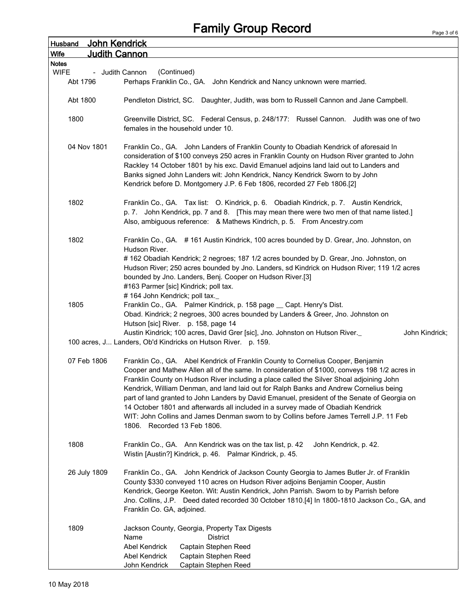## Family Group Record

| John Kendrick<br><b>Husband</b>     |                                                                                                                                                                                                                                                                                                                                                                                                                                                                                                                                                                                                                                                                                       |
|-------------------------------------|---------------------------------------------------------------------------------------------------------------------------------------------------------------------------------------------------------------------------------------------------------------------------------------------------------------------------------------------------------------------------------------------------------------------------------------------------------------------------------------------------------------------------------------------------------------------------------------------------------------------------------------------------------------------------------------|
| <b>Judith Cannon</b><br><b>Wife</b> |                                                                                                                                                                                                                                                                                                                                                                                                                                                                                                                                                                                                                                                                                       |
| <b>Notes</b><br><b>WIFE</b>         | (Continued)                                                                                                                                                                                                                                                                                                                                                                                                                                                                                                                                                                                                                                                                           |
| Abt 1796                            | - Judith Cannon<br>Perhaps Franklin Co., GA. John Kendrick and Nancy unknown were married.                                                                                                                                                                                                                                                                                                                                                                                                                                                                                                                                                                                            |
|                                     |                                                                                                                                                                                                                                                                                                                                                                                                                                                                                                                                                                                                                                                                                       |
| Abt 1800                            | Pendleton District, SC. Daughter, Judith, was born to Russell Cannon and Jane Campbell.                                                                                                                                                                                                                                                                                                                                                                                                                                                                                                                                                                                               |
| 1800                                | Greenville District, SC. Federal Census, p. 248/177: Russel Cannon. Judith was one of two<br>females in the household under 10.                                                                                                                                                                                                                                                                                                                                                                                                                                                                                                                                                       |
| 04 Nov 1801                         | Franklin Co., GA. John Landers of Franklin County to Obadiah Kendrick of aforesaid In<br>consideration of \$100 conveys 250 acres in Franklin County on Hudson River granted to John<br>Rackley 14 October 1801 by his exc. David Emanuel adjoins land laid out to Landers and<br>Banks signed John Landers wit: John Kendrick, Nancy Kendrick Sworn to by John<br>Kendrick before D. Montgomery J.P. 6 Feb 1806, recorded 27 Feb 1806.[2]                                                                                                                                                                                                                                            |
| 1802                                | Franklin Co., GA. Tax list: O. Kindrick, p. 6. Obadiah Kindrick, p. 7. Austin Kendrick,<br>p. 7. John Kendrick, pp. 7 and 8. [This may mean there were two men of that name listed.]<br>Also, ambiguous reference: & Mathews Kindrich, p. 5. From Ancestry.com                                                                                                                                                                                                                                                                                                                                                                                                                        |
| 1802                                | Franklin Co., GA. #161 Austin Kindrick, 100 acres bounded by D. Grear, Jno. Johnston, on<br>Hudson River.<br>#162 Obadiah Kendrick; 2 negroes; 187 1/2 acres bounded by D. Grear, Jno. Johnston, on<br>Hudson River; 250 acres bounded by Jno. Landers, sd Kindrick on Hudson River; 119 1/2 acres<br>bounded by Jno. Landers, Benj. Cooper on Hudson River.[3]<br>#163 Parmer [sic] Kindrick; poll tax.                                                                                                                                                                                                                                                                              |
| 1805                                | #164 John Kendrick; poll tax.<br>Franklin Co., GA. Palmer Kindrick, p. 158 page _ Capt. Henry's Dist.<br>Obad. Kindrick; 2 negroes, 300 acres bounded by Landers & Greer, Jno. Johnston on<br>Hutson [sic] River. p. 158, page 14<br>Austin Kindrick; 100 acres, David Grer [sic], Jno. Johnston on Hutson River.<br>John Kindrick;                                                                                                                                                                                                                                                                                                                                                   |
|                                     | 100 acres, J Landers, Ob'd Kindricks on Hutson River. p. 159.                                                                                                                                                                                                                                                                                                                                                                                                                                                                                                                                                                                                                         |
| 07 Feb 1806                         | Franklin Co., GA. Abel Kendrick of Franklin County to Cornelius Cooper, Benjamin<br>Cooper and Mathew Allen all of the same. In consideration of \$1000, conveys 198 1/2 acres in<br>Franklin County on Hudson River including a place called the Silver Shoal adjoining John<br>Kendrick, William Denman, and land laid out for Ralph Banks and Andrew Cornelius being<br>part of land granted to John Landers by David Emanuel, president of the Senate of Georgia on<br>14 October 1801 and afterwards all included in a survey made of Obadiah Kendrick<br>WIT: John Collins and James Denman sworn to by Collins before James Terrell J.P. 11 Feb<br>1806. Recorded 13 Feb 1806. |
| 1808                                | Franklin Co., GA. Ann Kendrick was on the tax list, p. 42<br>John Kendrick, p. 42.<br>Wistin [Austin?] Kindrick, p. 46. Palmar Kindrick, p. 45.                                                                                                                                                                                                                                                                                                                                                                                                                                                                                                                                       |
| 26 July 1809                        | Franklin Co., GA. John Kendrick of Jackson County Georgia to James Butler Jr. of Franklin<br>County \$330 conveyed 110 acres on Hudson River adjoins Benjamin Cooper, Austin<br>Kendrick, George Keeton. Wit: Austin Kendrick, John Parrish. Sworn to by Parrish before<br>Jno. Collins, J.P. Deed dated recorded 30 October 1810.[4] In 1800-1810 Jackson Co., GA, and<br>Franklin Co. GA, adjoined.                                                                                                                                                                                                                                                                                 |
| 1809                                | Jackson County, Georgia, Property Tax Digests<br><b>District</b><br>Name<br><b>Abel Kendrick</b><br>Captain Stephen Reed<br>Abel Kendrick<br>Captain Stephen Reed<br>John Kendrick<br>Captain Stephen Reed                                                                                                                                                                                                                                                                                                                                                                                                                                                                            |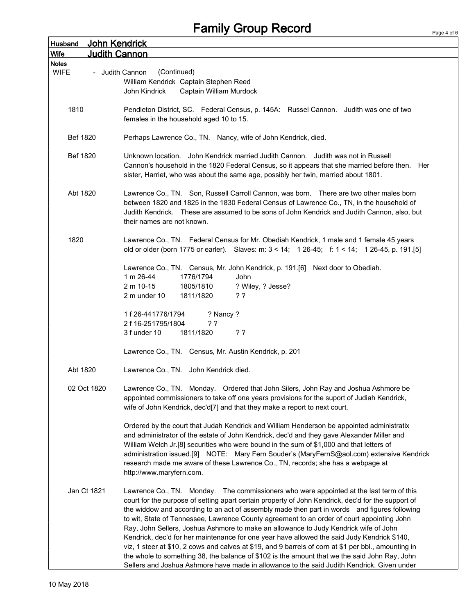## Family Group Record

| John Kendrick<br><b>Husband</b>                |                                                                                                                                                                                                                                                                                                                                                                                                                                                                                                                                                                                                                                                                                                                                                                                                                                                                                           |
|------------------------------------------------|-------------------------------------------------------------------------------------------------------------------------------------------------------------------------------------------------------------------------------------------------------------------------------------------------------------------------------------------------------------------------------------------------------------------------------------------------------------------------------------------------------------------------------------------------------------------------------------------------------------------------------------------------------------------------------------------------------------------------------------------------------------------------------------------------------------------------------------------------------------------------------------------|
| <b>Judith Cannon</b><br>Wife                   |                                                                                                                                                                                                                                                                                                                                                                                                                                                                                                                                                                                                                                                                                                                                                                                                                                                                                           |
| <b>Notes</b><br><b>WIFE</b><br>- Judith Cannon | (Continued)<br>William Kendrick Captain Stephen Reed<br>John Kindrick<br>Captain William Murdock                                                                                                                                                                                                                                                                                                                                                                                                                                                                                                                                                                                                                                                                                                                                                                                          |
| 1810                                           | Pendleton District, SC. Federal Census, p. 145A: Russel Cannon. Judith was one of two<br>females in the household aged 10 to 15.                                                                                                                                                                                                                                                                                                                                                                                                                                                                                                                                                                                                                                                                                                                                                          |
| Bef 1820                                       | Perhaps Lawrence Co., TN. Nancy, wife of John Kendrick, died.                                                                                                                                                                                                                                                                                                                                                                                                                                                                                                                                                                                                                                                                                                                                                                                                                             |
| Bef 1820                                       | Unknown location. John Kendrick married Judith Cannon. Judith was not in Russell<br>Cannon's household in the 1820 Federal Census, so it appears that she married before then. Her<br>sister, Harriet, who was about the same age, possibly her twin, married about 1801.                                                                                                                                                                                                                                                                                                                                                                                                                                                                                                                                                                                                                 |
| Abt 1820                                       | Lawrence Co., TN. Son, Russell Carroll Cannon, was born. There are two other males born<br>between 1820 and 1825 in the 1830 Federal Census of Lawrence Co., TN, in the household of<br>Judith Kendrick. These are assumed to be sons of John Kendrick and Judith Cannon, also, but<br>their names are not known.                                                                                                                                                                                                                                                                                                                                                                                                                                                                                                                                                                         |
| 1820                                           | Lawrence Co., TN. Federal Census for Mr. Obediah Kendrick, 1 male and 1 female 45 years<br>old or older (born 1775 or earler). Slaves: m: 3 < 14; 1 26-45; f: 1 < 14; 1 26-45, p. 191.[5]                                                                                                                                                                                                                                                                                                                                                                                                                                                                                                                                                                                                                                                                                                 |
|                                                | Lawrence Co., TN. Census, Mr. John Kendrick, p. 191.[6] Next door to Obediah.<br>1 m 26-44<br>1776/1794<br>John                                                                                                                                                                                                                                                                                                                                                                                                                                                                                                                                                                                                                                                                                                                                                                           |
|                                                | 2 m 10-15<br>1805/1810<br>? Wiley, ? Jesse?<br>2 m under 10<br>1811/1820<br>??                                                                                                                                                                                                                                                                                                                                                                                                                                                                                                                                                                                                                                                                                                                                                                                                            |
|                                                | 1 f 26-441776/1794<br>? Nancy ?<br>2 f 16-251795/1804<br>??<br>3 f under 10<br>1811/1820<br>??                                                                                                                                                                                                                                                                                                                                                                                                                                                                                                                                                                                                                                                                                                                                                                                            |
|                                                | Lawrence Co., TN. Census, Mr. Austin Kendrick, p. 201                                                                                                                                                                                                                                                                                                                                                                                                                                                                                                                                                                                                                                                                                                                                                                                                                                     |
| Abt 1820                                       | Lawrence Co., TN. John Kendrick died.                                                                                                                                                                                                                                                                                                                                                                                                                                                                                                                                                                                                                                                                                                                                                                                                                                                     |
| 02 Oct 1820                                    | Lawrence Co., TN. Monday. Ordered that John Silers, John Ray and Joshua Ashmore be<br>appointed commissioners to take off one years provisions for the suport of Judiah Kendrick,<br>wife of John Kendrick, dec'd[7] and that they make a report to next court.                                                                                                                                                                                                                                                                                                                                                                                                                                                                                                                                                                                                                           |
|                                                | Ordered by the court that Judah Kendrick and William Henderson be appointed administratix<br>and administrator of the estate of John Kendrick, dec'd and they gave Alexander Miller and<br>William Welch Jr.[8] securities who were bound in the sum of \$1,000 and that letters of<br>administration issued.[9] NOTE: Mary Fern Souder's (MaryFernS@aol.com) extensive Kendrick<br>research made me aware of these Lawrence Co., TN, records; she has a webpage at<br>http://www.maryfern.com.                                                                                                                                                                                                                                                                                                                                                                                           |
| Jan Ct 1821                                    | Lawrence Co., TN. Monday. The commissioners who were appointed at the last term of this<br>court for the purpose of setting apart certain property of John Kendrick, dec'd for the support of<br>the widdow and according to an act of assembly made then part in words and figures following<br>to wit, State of Tennessee, Lawrence County agreement to an order of court appointing John<br>Ray, John Sellers, Joshua Ashmore to make an allowance to Judy Kendrick wife of John<br>Kendrick, dec'd for her maintenance for one year have allowed the said Judy Kendrick \$140,<br>viz, 1 steer at \$10, 2 cows and calves at \$19, and 9 barrels of corn at \$1 per bbl., amounting in<br>the whole to something 38, the balance of \$102 is the amount that we the said John Ray, John<br>Sellers and Joshua Ashmore have made in allowance to the said Judith Kendrick. Given under |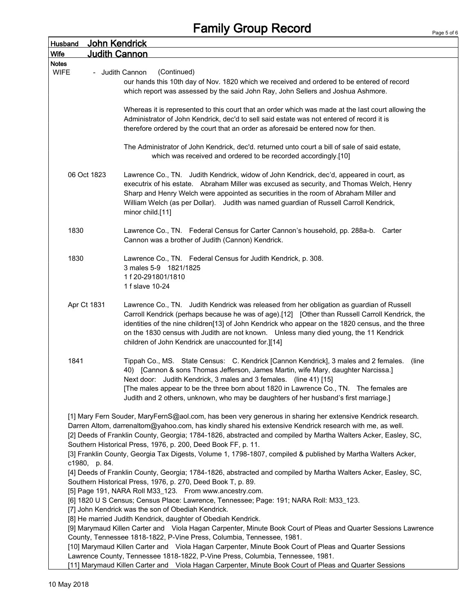| <b>Husband</b> | <b>John Kendrick</b>                                                                                                                         |
|----------------|----------------------------------------------------------------------------------------------------------------------------------------------|
| <b>Wife</b>    | <b>Judith Cannon</b>                                                                                                                         |
| <b>Notes</b>   |                                                                                                                                              |
| <b>WIFE</b>    | (Continued)<br>- Judith Cannon                                                                                                               |
|                | our hands this 10th day of Nov. 1820 which we received and ordered to be entered of record                                                   |
|                | which report was assessed by the said John Ray, John Sellers and Joshua Ashmore.                                                             |
|                | Whereas it is represented to this court that an order which was made at the last court allowing the                                          |
|                | Administrator of John Kendrick, dec'd to sell said estate was not entered of record it is                                                    |
|                | therefore ordered by the court that an order as aforesaid be entered now for then.                                                           |
|                |                                                                                                                                              |
|                | The Administrator of John Kendrick, dec'd. returned unto court a bill of sale of said estate,                                                |
|                | which was received and ordered to be recorded accordingly.[10]                                                                               |
|                |                                                                                                                                              |
| 06 Oct 1823    | Lawrence Co., TN. Judith Kendrick, widow of John Kendrick, dec'd, appeared in court, as                                                      |
|                | executrix of his estate. Abraham Miller was excused as security, and Thomas Welch, Henry                                                     |
|                | Sharp and Henry Welch were appointed as securities in the room of Abraham Miller and                                                         |
|                | William Welch (as per Dollar). Judith was named guardian of Russell Carroll Kendrick,                                                        |
|                | minor child.[11]                                                                                                                             |
| 1830           | Lawrence Co., TN. Federal Census for Carter Cannon's household, pp. 288a-b. Carter                                                           |
|                | Cannon was a brother of Judith (Cannon) Kendrick.                                                                                            |
|                |                                                                                                                                              |
| 1830           | Lawrence Co., TN. Federal Census for Judith Kendrick, p. 308.                                                                                |
|                | 3 males 5-9 1821/1825                                                                                                                        |
|                | 1f 20-291801/1810                                                                                                                            |
|                | 1 f slave 10-24                                                                                                                              |
|                |                                                                                                                                              |
| Apr Ct 1831    | Lawrence Co., TN. Judith Kendrick was released from her obligation as guardian of Russell                                                    |
|                | Carroll Kendrick (perhaps because he was of age).[12] [Other than Russell Carroll Kendrick, the                                              |
|                | identities of the nine children[13] of John Kendrick who appear on the 1820 census, and the three                                            |
|                | on the 1830 census with Judith are not known. Unless many died young, the 11 Kendrick<br>children of John Kendrick are unaccounted for.][14] |
|                |                                                                                                                                              |
| 1841           | Tippah Co., MS. State Census: C. Kendrick [Cannon Kendrick], 3 males and 2 females.<br>(line                                                 |
|                | 40) [Cannon & sons Thomas Jefferson, James Martin, wife Mary, daughter Narcissa.]                                                            |
|                | Next door: Judith Kendrick, 3 males and 3 females. (line 41) [15]                                                                            |
|                | [The males appear to be the three born about 1820 in Lawrence Co., TN. The females are                                                       |
|                | Judith and 2 others, unknown, who may be daughters of her husband's first marriage.]                                                         |
|                |                                                                                                                                              |
|                | [1] Mary Fern Souder, MaryFernS@aol.com, has been very generous in sharing her extensive Kendrick research.                                  |
|                | Darren Altom, darrenaltom@yahoo.com, has kindly shared his extensive Kendrick research with me, as well.                                     |
|                | [2] Deeds of Franklin County, Georgia; 1784-1826, abstracted and compiled by Martha Walters Acker, Easley, SC,                               |
|                | Southern Historical Press, 1976, p. 200, Deed Book FF, p. 11.                                                                                |
| c1980, p. 84.  | [3] Franklin County, Georgia Tax Digests, Volume 1, 1798-1807, compiled & published by Martha Walters Acker,                                 |
|                | [4] Deeds of Franklin County, Georgia; 1784-1826, abstracted and compiled by Martha Walters Acker, Easley, SC,                               |
|                | Southern Historical Press, 1976, p. 270, Deed Book T, p. 89.                                                                                 |
|                | [5] Page 191, NARA Roll M33_123. From www.ancestry.com.                                                                                      |
|                | [6] 1820 U S Census; Census Place: Lawrence, Tennessee; Page: 191; NARA Roll: M33_123.                                                       |
|                | [7] John Kendrick was the son of Obediah Kendrick.                                                                                           |
|                | [8] He married Judith Kendrick, daughter of Obediah Kendrick.                                                                                |
|                | [9] Marymaud Killen Carter and Viola Hagan Carpenter, Minute Book Court of Pleas and Quarter Sessions Lawrence                               |
|                | County, Tennessee 1818-1822, P-Vine Press, Columbia, Tennessee, 1981.                                                                        |
|                | [10] Marymaud Killen Carter and Viola Hagan Carpenter, Minute Book Court of Pleas and Quarter Sessions                                       |
|                | Lawrence County, Tennessee 1818-1822, P-Vine Press, Columbia, Tennessee, 1981.                                                               |
|                | [11] Marymaud Killen Carter and Viola Hagan Carpenter, Minute Book Court of Pleas and Quarter Sessions                                       |